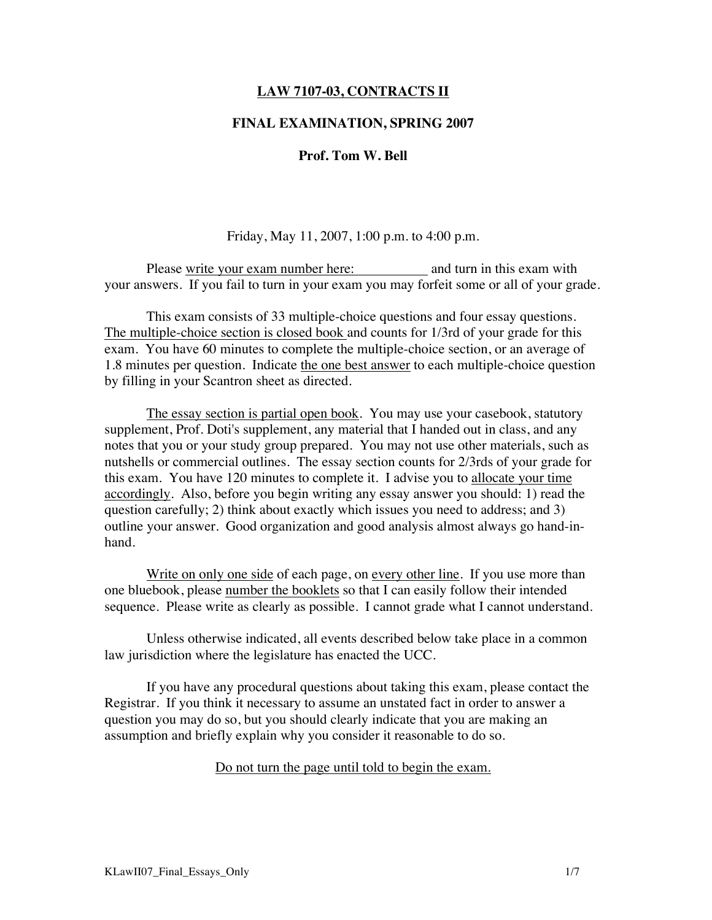#### **LAW 7107-03, CONTRACTS II**

#### **FINAL EXAMINATION, SPRING 2007**

#### **Prof. Tom W. Bell**

Friday, May 11, 2007, 1:00 p.m. to 4:00 p.m.

Please write your exam number here: and turn in this exam with your answers. If you fail to turn in your exam you may forfeit some or all of your grade.

This exam consists of 33 multiple-choice questions and four essay questions. The multiple-choice section is closed book and counts for 1/3rd of your grade for this exam. You have 60 minutes to complete the multiple-choice section, or an average of 1.8 minutes per question. Indicate the one best answer to each multiple-choice question by filling in your Scantron sheet as directed.

The essay section is partial open book. You may use your casebook, statutory supplement, Prof. Doti's supplement, any material that I handed out in class, and any notes that you or your study group prepared. You may not use other materials, such as nutshells or commercial outlines. The essay section counts for 2/3rds of your grade for this exam. You have 120 minutes to complete it. I advise you to allocate your time accordingly. Also, before you begin writing any essay answer you should: 1) read the question carefully; 2) think about exactly which issues you need to address; and 3) outline your answer. Good organization and good analysis almost always go hand-inhand.

Write on only one side of each page, on every other line. If you use more than one bluebook, please number the booklets so that I can easily follow their intended sequence. Please write as clearly as possible. I cannot grade what I cannot understand.

Unless otherwise indicated, all events described below take place in a common law jurisdiction where the legislature has enacted the UCC.

If you have any procedural questions about taking this exam, please contact the Registrar. If you think it necessary to assume an unstated fact in order to answer a question you may do so, but you should clearly indicate that you are making an assumption and briefly explain why you consider it reasonable to do so.

#### Do not turn the page until told to begin the exam.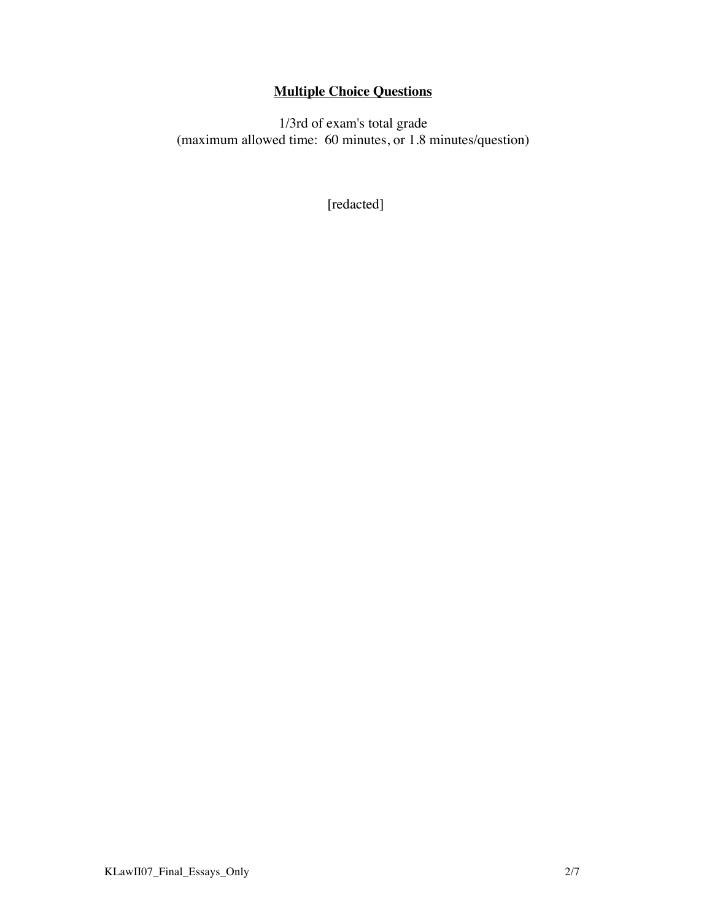# **Multiple Choice Questions**

1/3rd of exam's total grade (maximum allowed time: 60 minutes, or 1.8 minutes/question)

[redacted]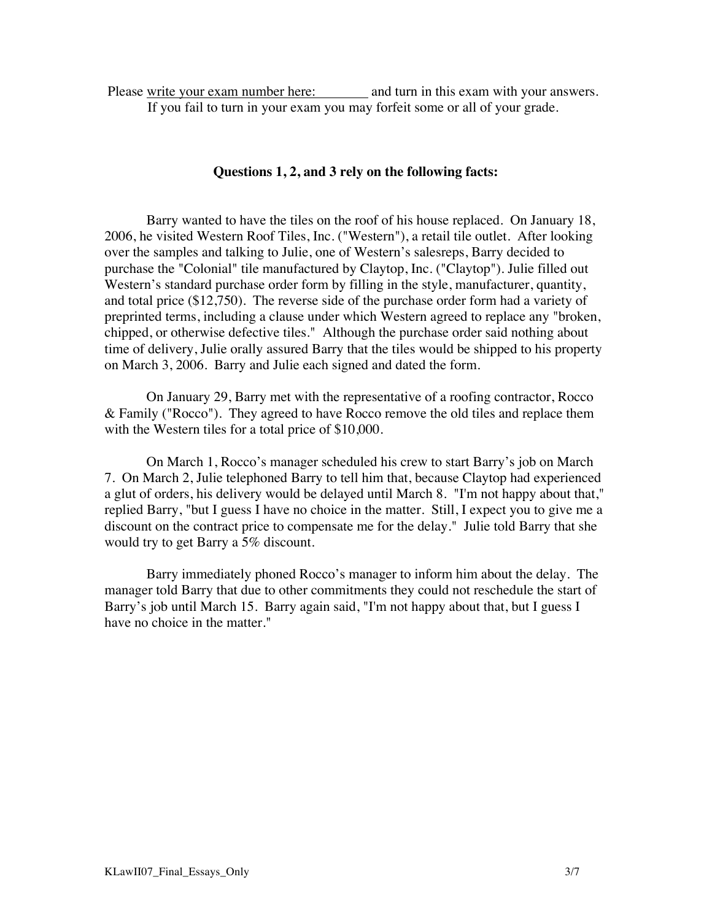Please write your exam number here: and turn in this exam with your answers. If you fail to turn in your exam you may forfeit some or all of your grade.

#### **Questions 1, 2, and 3 rely on the following facts:**

Barry wanted to have the tiles on the roof of his house replaced. On January 18, 2006, he visited Western Roof Tiles, Inc. ("Western"), a retail tile outlet. After looking over the samples and talking to Julie, one of Western's salesreps, Barry decided to purchase the "Colonial" tile manufactured by Claytop, Inc. ("Claytop"). Julie filled out Western's standard purchase order form by filling in the style, manufacturer, quantity, and total price (\$12,750). The reverse side of the purchase order form had a variety of preprinted terms, including a clause under which Western agreed to replace any "broken, chipped, or otherwise defective tiles." Although the purchase order said nothing about time of delivery, Julie orally assured Barry that the tiles would be shipped to his property on March 3, 2006. Barry and Julie each signed and dated the form.

On January 29, Barry met with the representative of a roofing contractor, Rocco & Family ("Rocco"). They agreed to have Rocco remove the old tiles and replace them with the Western tiles for a total price of \$10,000.

On March 1, Rocco's manager scheduled his crew to start Barry's job on March 7. On March 2, Julie telephoned Barry to tell him that, because Claytop had experienced a glut of orders, his delivery would be delayed until March 8. "I'm not happy about that," replied Barry, "but I guess I have no choice in the matter. Still, I expect you to give me a discount on the contract price to compensate me for the delay." Julie told Barry that she would try to get Barry a 5% discount.

Barry immediately phoned Rocco's manager to inform him about the delay. The manager told Barry that due to other commitments they could not reschedule the start of Barry's job until March 15. Barry again said, "I'm not happy about that, but I guess I have no choice in the matter."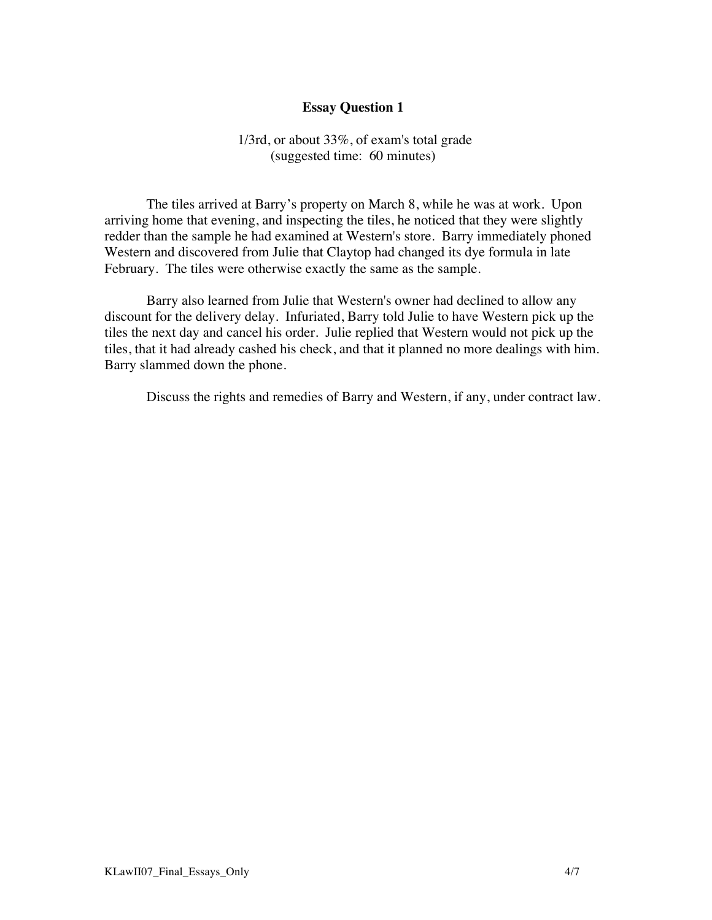1/3rd, or about 33%, of exam's total grade (suggested time: 60 minutes)

The tiles arrived at Barry's property on March 8, while he was at work. Upon arriving home that evening, and inspecting the tiles, he noticed that they were slightly redder than the sample he had examined at Western's store. Barry immediately phoned Western and discovered from Julie that Claytop had changed its dye formula in late February. The tiles were otherwise exactly the same as the sample.

Barry also learned from Julie that Western's owner had declined to allow any discount for the delivery delay. Infuriated, Barry told Julie to have Western pick up the tiles the next day and cancel his order. Julie replied that Western would not pick up the tiles, that it had already cashed his check, and that it planned no more dealings with him. Barry slammed down the phone.

Discuss the rights and remedies of Barry and Western, if any, under contract law.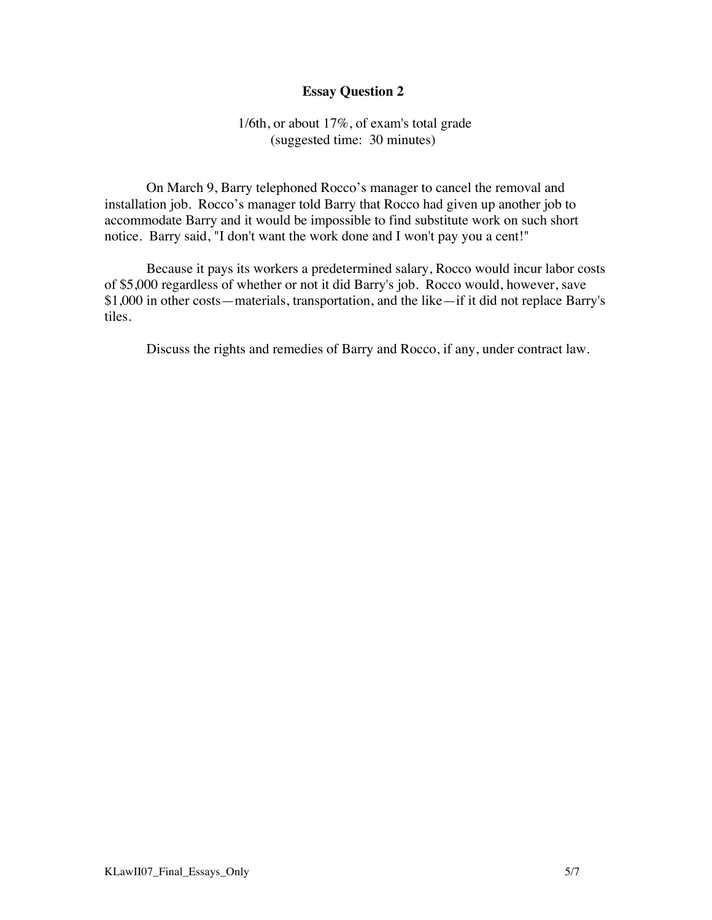#### 1/6th, or about 17%, of exam's total grade (suggested time: 30 minutes)

On March 9, Barry telephoned Rocco's manager to cancel the removal and installation job. Rocco's manager told Barry that Rocco had given up another job to accommodate Barry and it would be impossible to find substitute work on such short notice. Barry said, "I don't want the work done and I won't pay you a cent!"

Because it pays its workers a predetermined salary, Rocco would incur labor costs of \$5,000 regardless of whether or not it did Barry's job. Rocco would, however, save \$1,000 in other costs—materials, transportation, and the like—if it did not replace Barry's tiles.

Discuss the rights and remedies of Barry and Rocco, if any, under contract law.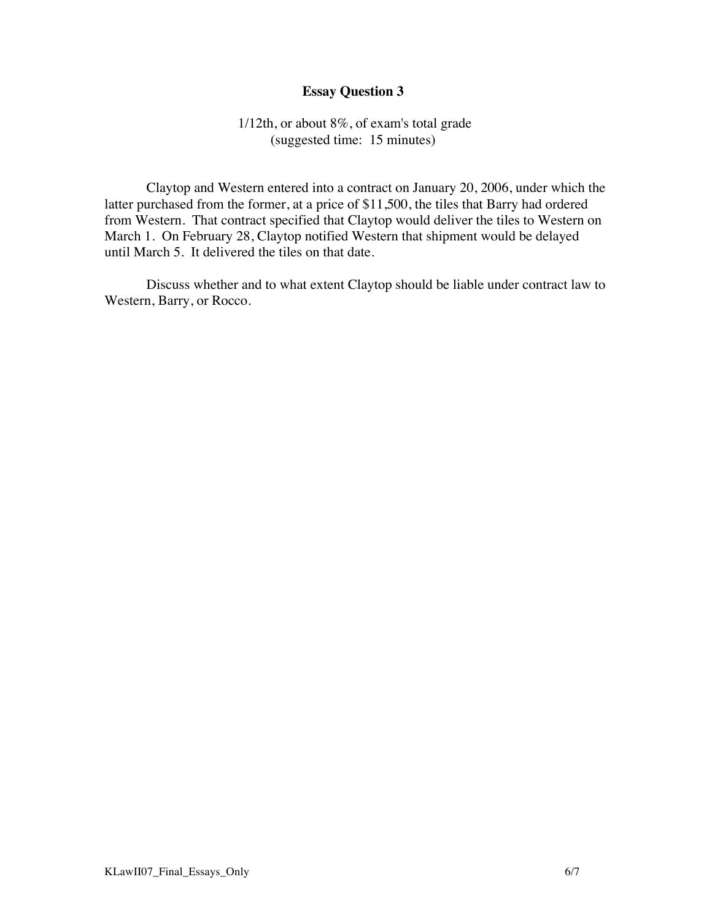### 1/12th, or about 8%, of exam's total grade (suggested time: 15 minutes)

Claytop and Western entered into a contract on January 20, 2006, under which the latter purchased from the former, at a price of \$11,500, the tiles that Barry had ordered from Western. That contract specified that Claytop would deliver the tiles to Western on March 1. On February 28, Claytop notified Western that shipment would be delayed until March 5. It delivered the tiles on that date.

Discuss whether and to what extent Claytop should be liable under contract law to Western, Barry, or Rocco.